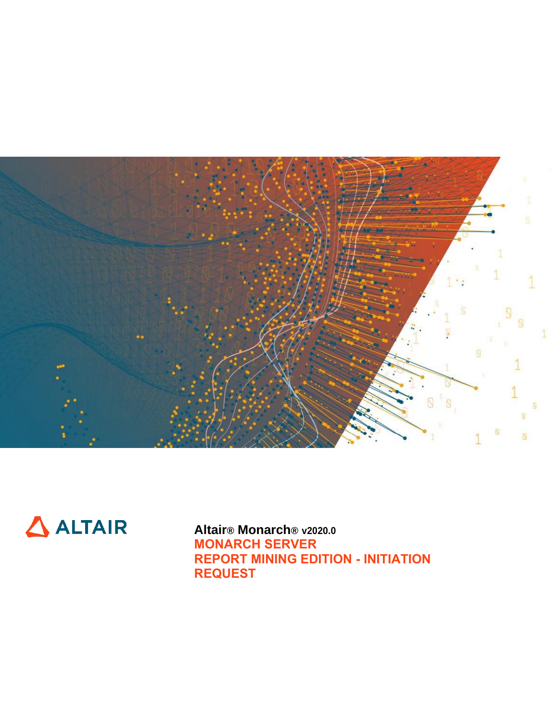



**Altair® Monarch® v2020.0 MONARCH SERVER REPORT MINING EDITION - INITIATION REQUEST**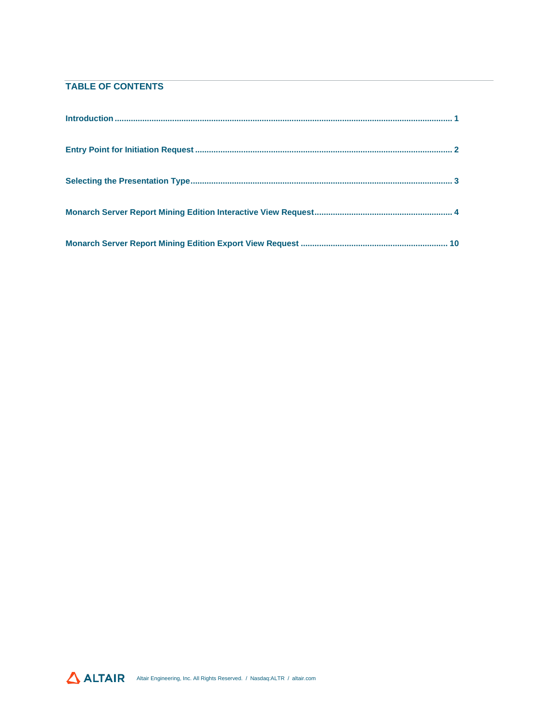## **TABLE OF CONTENTS**

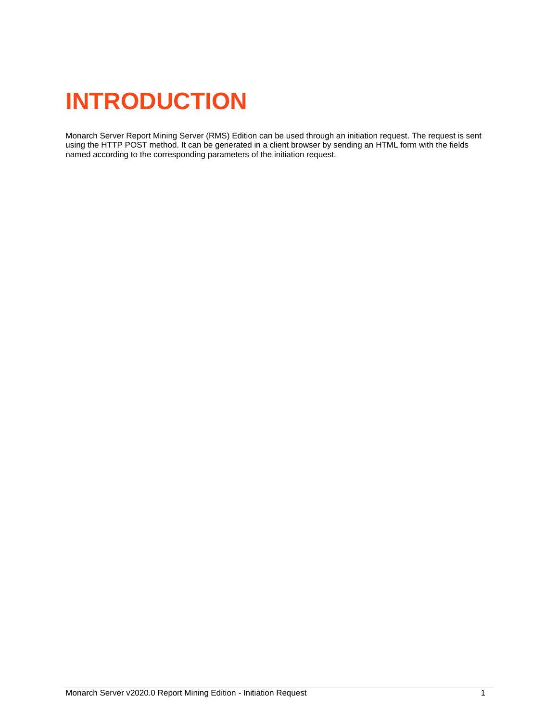# <span id="page-2-0"></span>**INTRODUCTION**

Monarch Server Report Mining Server (RMS) Edition can be used through an initiation request. The request is sent using the HTTP POST method. It can be generated in a client browser by sending an HTML form with the fields named according to the corresponding parameters of the initiation request.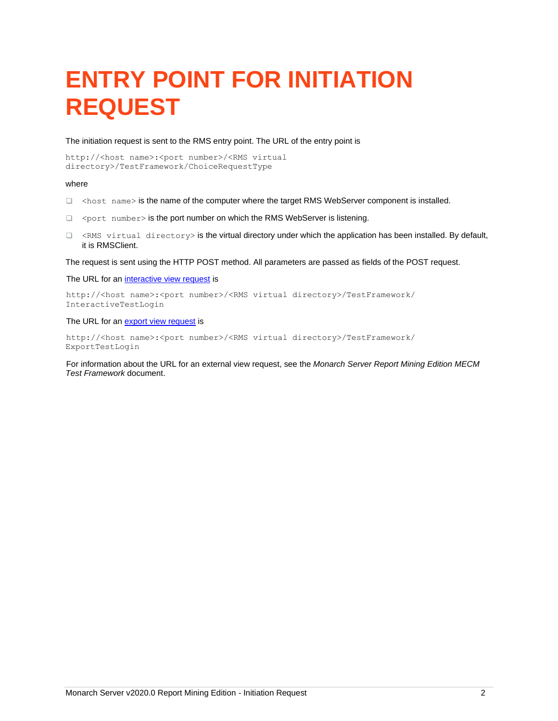# <span id="page-3-0"></span>**ENTRY POINT FOR INITIATION REQUEST**

The initiation request is sent to the RMS entry point. The URL of the entry point is

http://<host name>:<port number>/<RMS virtual directory>/TestFramework/ChoiceRequestType

#### where

- $\Box$  <host name> is the name of the computer where the target RMS WebServer component is installed.
- □ <port number> is the port number on which the RMS WebServer is listening.
- $\Box$  <RMS virtual directory> is the virtual directory under which the application has been installed. By default, it is RMSClient.

The request is sent using the HTTP POST method. All parameters are passed as fields of the POST request.

The URL for a[n interactive view request](#page-5-0) is

http://<host name>:<port number>/<RMS virtual directory>/TestFramework/ InteractiveTestLogin

The URL for a[n export view request](#page-11-0) is

http://<host name>:<port number>/<RMS virtual directory>/TestFramework/ ExportTestLogin

For information about the URL for an external view request, see the *Monarch Server Report Mining Edition MECM Test Framework* document.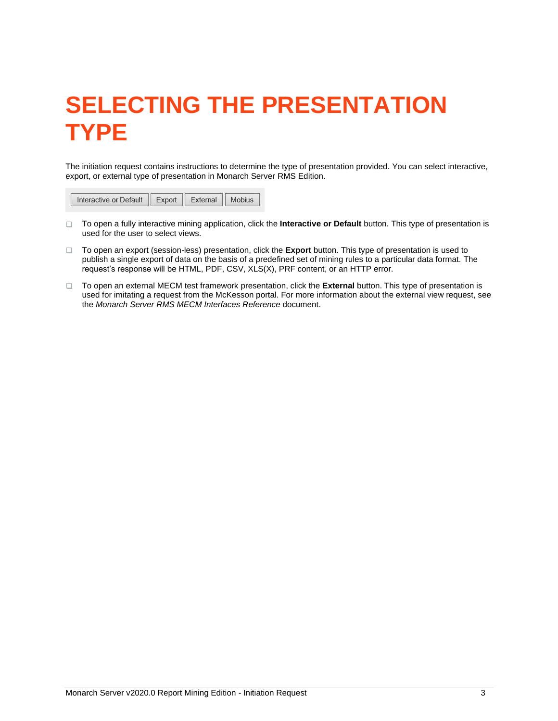# <span id="page-4-0"></span>**SELECTING THE PRESENTATION TYPE**

The initiation request contains instructions to determine the type of presentation provided. You can select interactive, export, or external type of presentation in Monarch Server RMS Edition.

|--|

- □ To open a fully interactive mining application, click the **Interactive or Default** button. This type of presentation is used for the user to select views.
- To open an export (session-less) presentation, click the **Export** button. This type of presentation is used to publish a single export of data on the basis of a predefined set of mining rules to a particular data format. The request's response will be HTML, PDF, CSV, XLS(X), PRF content, or an HTTP error.
- To open an external MECM test framework presentation, click the **External** button. This type of presentation is used for imitating a request from the McKesson portal. For more information about the external view request, see the *Monarch Server RMS MECM Interfaces Reference* document.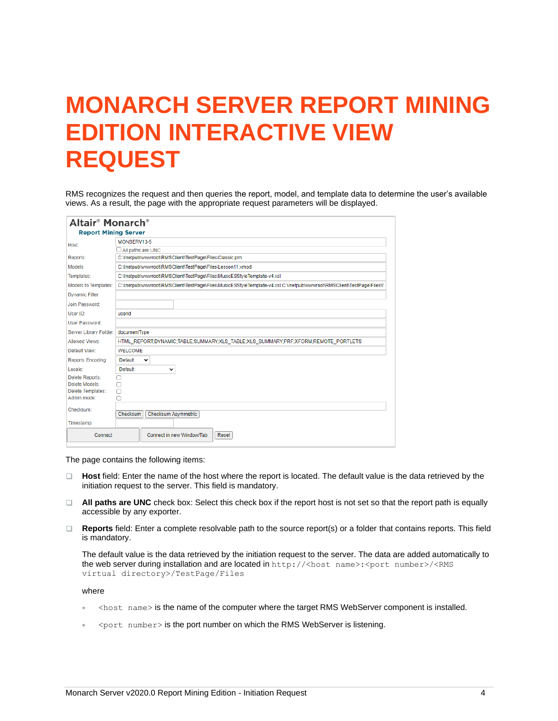# <span id="page-5-0"></span>**MONARCH SERVER REPORT MINING EDITION INTERACTIVE VIEW REQUEST**

RMS recognizes the request and then queries the report, model, and template data to determine the user's available views. As a result, the page with the appropriate request parameters will be displayed.

| Altair <sup>®</sup> Monarch <sup>®</sup> |                                                                                                                       |  |  |  |
|------------------------------------------|-----------------------------------------------------------------------------------------------------------------------|--|--|--|
| <b>Report Mining Server</b>              |                                                                                                                       |  |  |  |
| Host:                                    | MONSERV13-5                                                                                                           |  |  |  |
|                                          | $\Box$ All paths are UNC                                                                                              |  |  |  |
| Reports:                                 | C:\Inetpub\wwwroot\RMSClient\TestPage\Files\Classic.prn                                                               |  |  |  |
| Models:                                  | C:\Inetpub\wwwroot\RMSClient\TestPage\Files\Lesson11.xmod                                                             |  |  |  |
| Templates:                               | C:\Inetpub\wwwroot\RMSClient\TestPage\Files\MusicESStyleTemplate-v4.xsl                                               |  |  |  |
| Models to Templates:                     | C:\Inetpub\wwwroot\RMSClient\TestPage\Files\MusicESStyleTemplate-v4.xsl:C:\Inetpub\wwwroot\RMSClient\TestPage\Files\I |  |  |  |
| <b>Dynamic Filter:</b>                   |                                                                                                                       |  |  |  |
| Join Password:                           |                                                                                                                       |  |  |  |
| User ID:                                 | userid                                                                                                                |  |  |  |
| <b>User Password:</b>                    |                                                                                                                       |  |  |  |
| Server Library Folder:                   | documentType                                                                                                          |  |  |  |
| Allowed Views:                           | HTML_REPORT;DYNAMIC;TABLE;SUMMARY;XLS_TABLE;XLS_SUMMARY;PRF;XFORM;REMOTE_PORTLETS                                     |  |  |  |
| Default View:                            | <b>WELCOME</b>                                                                                                        |  |  |  |
| <b>Reports Encoding:</b>                 | Default<br>$\check{ }$                                                                                                |  |  |  |
| Locale:                                  | Default<br>v                                                                                                          |  |  |  |
| Delete Reports:                          | ∩                                                                                                                     |  |  |  |
| Delete Models:                           | О                                                                                                                     |  |  |  |
| Delete Templates:                        | Ω                                                                                                                     |  |  |  |
| Admin mode:                              | п                                                                                                                     |  |  |  |
| Checksum:                                | <b>Checksum Asymmetric</b><br>Checksum                                                                                |  |  |  |
| Timestamp:                               |                                                                                                                       |  |  |  |
| Connect                                  | Connect in new Window/Tab<br>Reset                                                                                    |  |  |  |

The page contains the following items:

- **Host** field: Enter the name of the host where the report is located. The default value is the data retrieved by the  $\Box$ initiation request to the server. This field is mandatory.
- **All paths are UNC** check box: Select this check box if the report host is not set so that the report path is equally accessible by any exporter.
- **Reports** field: Enter a complete resolvable path to the source report(s) or a folder that contains reports. This field is mandatory.

The default value is the data retrieved by the initiation request to the server. The data are added automatically to the web server during installation and are located in http://<host name>:<port number>/<RMS virtual directory>/TestPage/Files

where

- $\epsilon$   $\lambda$   $\epsilon$  name  $>$  is the name of the computer where the target RMS WebServer component is installed.
- $\leq$  port number > is the port number on which the RMS WebServer is listening.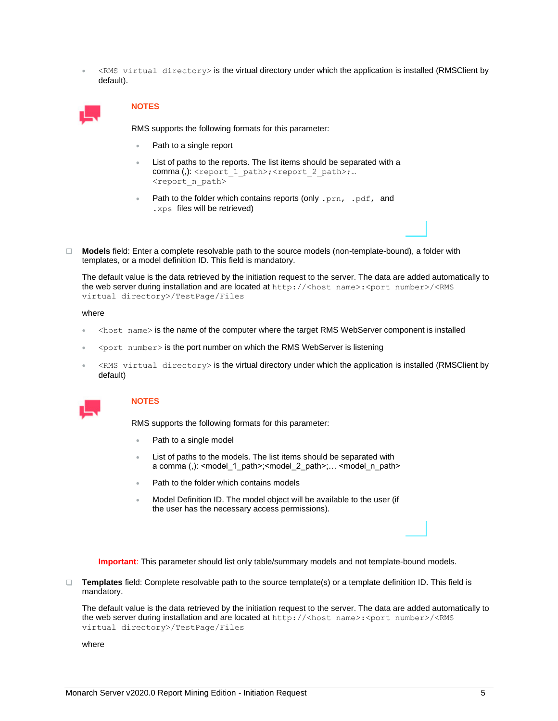• <RMS virtual directory> is the virtual directory under which the application is installed (RMSClient by default).



### **NOTES**

RMS supports the following formats for this parameter:

- Path to a single report
- List of paths to the reports. The list items should be separated with a comma (,): <report 1 path>;<report 2 path>;... <report\_n\_path>
- Path to the folder which contains reports (only .prn, .pdf, and .xps files will be retrieved)
- **Models** field: Enter a complete resolvable path to the source models (non-template-bound), a folder with templates, or a model definition ID. This field is mandatory.

The default value is the data retrieved by the initiation request to the server. The data are added automatically to the web server during installation and are located at  $http://:/$ virtual directory>/TestPage/Files

#### where

- <host name> is the name of the computer where the target RMS WebServer component is installed
- $\leq$  port number > is the port number on which the RMS WebServer is listening
- $\leq$ RMS virtual directory> is the virtual directory under which the application is installed (RMSClient by default)



#### **NOTES**

RMS supports the following formats for this parameter:

- Path to a single model
- List of paths to the models. The list items should be separated with a comma (,): <model\_1\_path>;<model\_2\_path>;… <model\_n\_path>
- Path to the folder which contains models
- Model Definition ID. The model object will be available to the user (if the user has the necessary access permissions).

**Important**: This parameter should list only table/summary models and not template-bound models.

**Templates** field: Complete resolvable path to the source template(s) or a template definition ID. This field is mandatory.

The default value is the data retrieved by the initiation request to the server. The data are added automatically to the web server during installation and are located at http://<host name>:<port number>/<RMS virtual directory>/TestPage/Files

where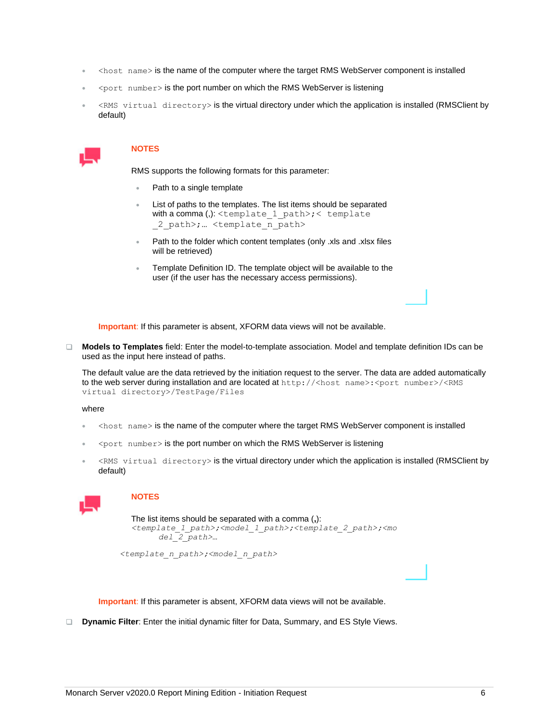- <host name> is the name of the computer where the target RMS WebServer component is installed
- <port number> is the port number on which the RMS WebServer is listening
- <RMS virtual directory> is the virtual directory under which the application is installed (RMSClient by default)



RMS supports the following formats for this parameter:

- Path to a single template
- List of paths to the templates. The list items should be separated with a comma (,):  $\leq$ template  $1$  path>;  $\leq$  template 2 path>; ... <template n path>
- Path to the folder which content templates (only .xls and .xlsx files will be retrieved)
- Template Definition ID. The template object will be available to the user (if the user has the necessary access permissions).

**Important**: If this parameter is absent, XFORM data views will not be available.

**Models to Templates** field: Enter the model-to-template association. Model and template definition IDs can be used as the input here instead of paths.

The default value are the data retrieved by the initiation request to the server. The data are added automatically to the web server during installation and are located at http://<host name>:<port number>/<RMS virtual directory>/TestPage/Files

where

- <host name> is the name of the computer where the target RMS WebServer component is installed
- $\leq$  port number > is the port number on which the RMS WebServer is listening
- <RMS virtual directory> is the virtual directory under which the application is installed (RMSClient by default)



### **NOTES**

```
The list items should be separated with a comma (,):
<template_1_path>;<model_1_path>;<template_2_path>;<mo
      del_2_path>…
```
*<template\_n\_path>;<model\_n\_path>*

**Important**: If this parameter is absent, XFORM data views will not be available.

**Dynamic Filter:** Enter the initial dynamic filter for Data, Summary, and ES Style Views.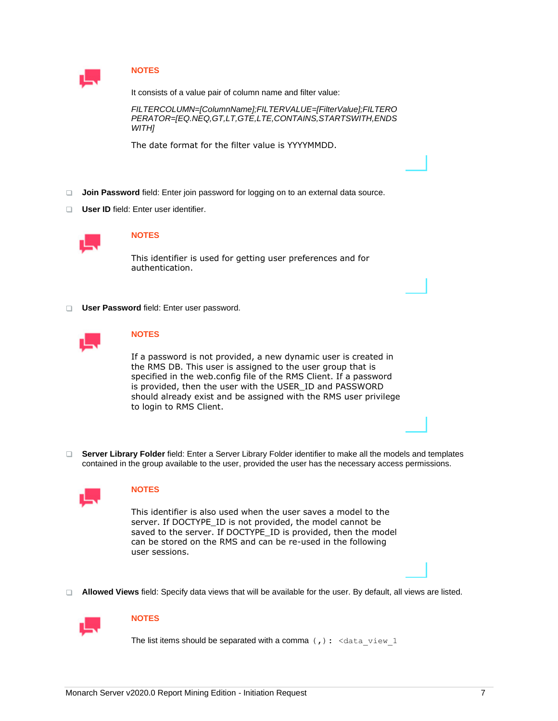

It consists of a value pair of column name and filter value:

*FILTERCOLUMN=[ColumnName];FILTERVALUE=[FilterValue];FILTERO PERATOR=[EQ.NEQ,GT,LT,GTE,LTE,CONTAINS,STARTSWITH,ENDS WITH]*

The date format for the filter value is YYYYMMDD.

- **Join Password** field: Enter join password for logging on to an external data source.
- **User ID** field: Enter user identifier.



## **NOTES**

This identifier is used for getting user preferences and for authentication.

**User Password** field: Enter user password.



### **NOTES**

If a password is not provided, a new dynamic user is created in the RMS DB. This user is assigned to the user group that is specified in the web.config file of the RMS Client. If a password is provided, then the user with the USER\_ID and PASSWORD should already exist and be assigned with the RMS user privilege to login to RMS Client.

**Server Library Folder** field: Enter a Server Library Folder identifier to make all the models and templates contained in the group available to the user, provided the user has the necessary access permissions.



### **NOTES**

This identifier is also used when the user saves a model to the server. If DOCTYPE\_ID is not provided, the model cannot be saved to the server. If DOCTYPE\_ID is provided, then the model can be stored on the RMS and can be re-used in the following user sessions.

**Allowed Views** field: Specify data views that will be available for the user. By default, all views are listed.



### **NOTES**

The list items should be separated with a comma  $($ ,  $)$  :  $\le$  data view 1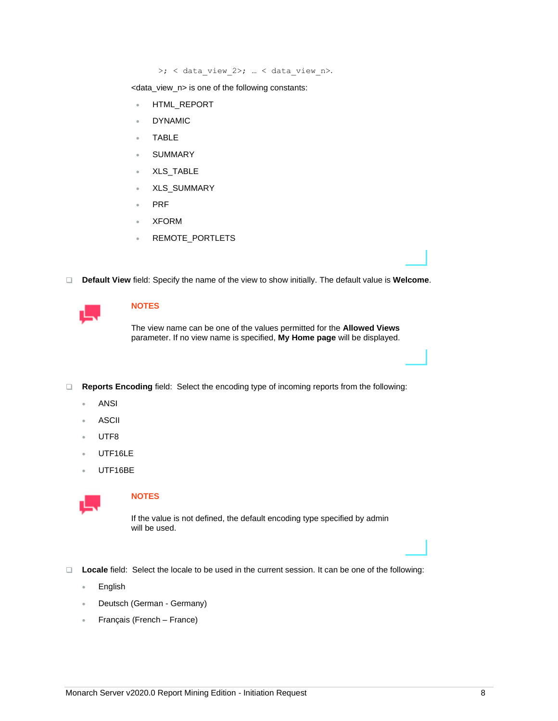>; < data\_view\_2>; … < data\_view\_n>.

<data\_view\_n> is one of the following constants:

- HTML\_REPORT
- **DYNAMIC**
- TABLE
- **SUMMARY**
- XLS\_TABLE
- XLS\_SUMMARY
- PRF
- XFORM
- REMOTE\_PORTLETS
- **Default View** field: Specify the name of the view to show initially. The default value is **Welcome**.

## **NOTES**

The view name can be one of the values permitted for the **Allowed Views** parameter. If no view name is specified, **My Home page** will be displayed.

**Reports Encoding** field: Select the encoding type of incoming reports from the following:

- ANSI
- **ASCII**
- UTF8
- UTF16LE
- UTF16BE



## **NOTES**

If the value is not defined, the default encoding type specified by admin will be used.

- **Locale** field: Select the locale to be used in the current session. It can be one of the following:
	- English
	- Deutsch (German Germany)
	- Français (French France)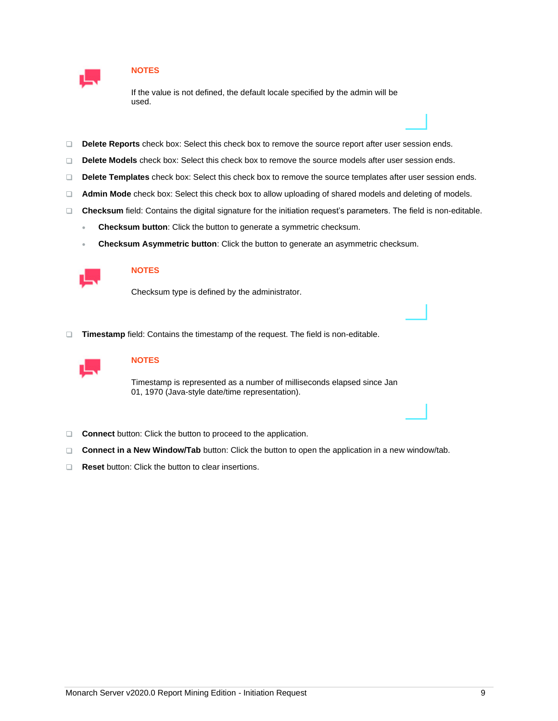

If the value is not defined, the default locale specified by the admin will be used.

- $\Box$ **Delete Reports** check box: Select this check box to remove the source report after user session ends.
- $\Box$ **Delete Models** check box: Select this check box to remove the source models after user session ends.
- $\Box$ **Delete Templates** check box: Select this check box to remove the source templates after user session ends.
- **Admin Mode** check box: Select this check box to allow uploading of shared models and deleting of models.  $\Box$
- **Checksum** field: Contains the digital signature for the initiation request's parameters. The field is non-editable.
	- **Checksum button**: Click the button to generate a symmetric checksum.
	- **Checksum Asymmetric button**: Click the button to generate an asymmetric checksum.



### **NOTES**

Checksum type is defined by the administrator.

**Timestamp** field: Contains the timestamp of the request. The field is non-editable.



## **NOTES**

Timestamp is represented as a number of milliseconds elapsed since Jan 01, 1970 (Java-style date/time representation).

- **Connect** button: Click the button to proceed to the application.
- **Connect in a New Window/Tab** button: Click the button to open the application in a new window/tab.  $\Box$
- **Reset** button: Click the button to clear insertions. $\Box$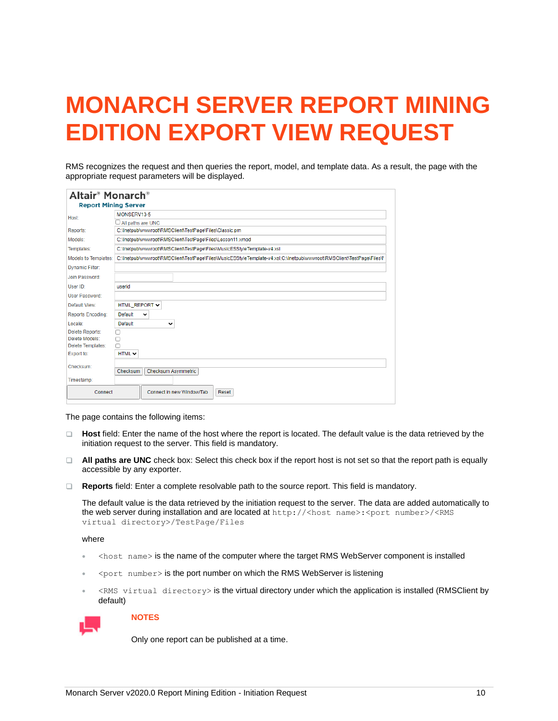# <span id="page-11-0"></span>**MONARCH SERVER REPORT MINING EDITION EXPORT VIEW REQUEST**

RMS recognizes the request and then queries the report, model, and template data. As a result, the page with the appropriate request parameters will be displayed.

| Altair <sup>®</sup> Monarch®<br><b>Report Mining Server</b> |                                                                                                                       |  |  |  |
|-------------------------------------------------------------|-----------------------------------------------------------------------------------------------------------------------|--|--|--|
| Host:                                                       | MONSERV13-5                                                                                                           |  |  |  |
|                                                             | $\Box$ All paths are UNC                                                                                              |  |  |  |
| Reports:                                                    | C:\Inetpub\wwwroot\RMSClient\TestPage\Files\Classic.prn                                                               |  |  |  |
| Models:                                                     | C:\Inetpub\wwwroot\RMSClient\TestPage\Files\Lesson11.xmod                                                             |  |  |  |
| Templates:                                                  | C:\Inetpub\wwwroot\RMSClient\TestPage\Files\MusicESStyleTemplate-v4.xsl                                               |  |  |  |
| Models to Templates:                                        | C:\Inetpub\wwwroot\RMSClient\TestPage\Files\MusicESStyleTemplate-v4.xsl;C:\Inetpub\wwwroot\RMSClient\TestPage\Files\I |  |  |  |
| <b>Dynamic Filter:</b>                                      |                                                                                                                       |  |  |  |
| Join Password:                                              |                                                                                                                       |  |  |  |
| User ID:                                                    | userid                                                                                                                |  |  |  |
| <b>User Password:</b>                                       |                                                                                                                       |  |  |  |
| Default View:                                               | HTML_REPORT V                                                                                                         |  |  |  |
| <b>Reports Encoding:</b>                                    | Default<br>$\checkmark$                                                                                               |  |  |  |
| Locale:                                                     | Default<br>v                                                                                                          |  |  |  |
| <b>Delete Reports:</b>                                      | п                                                                                                                     |  |  |  |
| Delete Models:                                              | п                                                                                                                     |  |  |  |
| Delete Templates:                                           | п                                                                                                                     |  |  |  |
| Export to:                                                  | $HTML \vee$                                                                                                           |  |  |  |
| Checksum:                                                   |                                                                                                                       |  |  |  |
|                                                             | Checksum<br><b>Checksum Asymmetric</b>                                                                                |  |  |  |
| Timestamp:                                                  |                                                                                                                       |  |  |  |
| Connect                                                     | Connect in new Window/Tab<br>Reset                                                                                    |  |  |  |

The page contains the following items:

- **Host** field: Enter the name of the host where the report is located. The default value is the data retrieved by the initiation request to the server. This field is mandatory.
- **All paths are UNC** check box: Select this check box if the report host is not set so that the report path is equally accessible by any exporter.
- **Reports** field: Enter a complete resolvable path to the source report. This field is mandatory.

The default value is the data retrieved by the initiation request to the server. The data are added automatically to the web server during installation and are located at http://<host name>:<port number>/<RMS virtual directory>/TestPage/Files

where

- <host name> is the name of the computer where the target RMS WebServer component is installed
- <port number> is the port number on which the RMS WebServer is listening
- <RMS virtual directory> is the virtual directory under which the application is installed (RMSClient by default)



### **NOTES**

Only one report can be published at a time.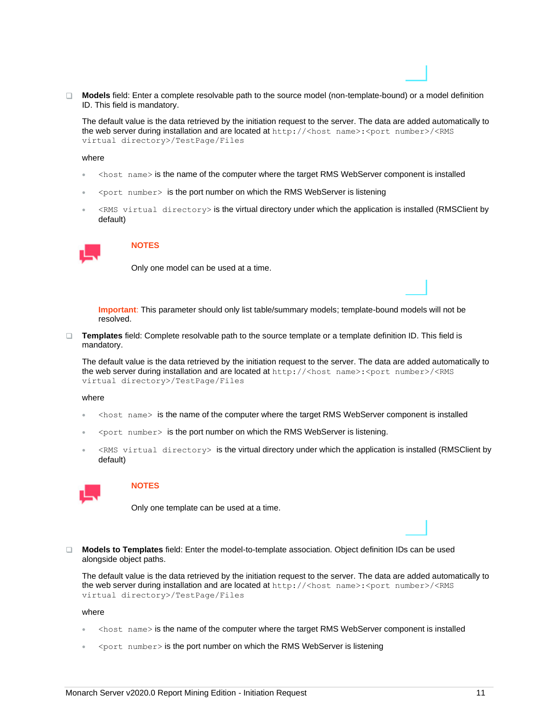**Models** field: Enter a complete resolvable path to the source model (non-template-bound) or a model definition ID. This field is mandatory.

The default value is the data retrieved by the initiation request to the server. The data are added automatically to the web server during installation and are located at http://<host name>:<port number>/<RMS virtual directory>/TestPage/Files

where

- <host name> is the name of the computer where the target RMS WebServer component is installed
- <port number> is the port number on which the RMS WebServer is listening
- <RMS virtual directory> is the virtual directory under which the application is installed (RMSClient by default)



### **NOTES**

Only one model can be used at a time.

**Important**: This parameter should only list table/summary models; template-bound models will not be resolved.

**Templates** field: Complete resolvable path to the source template or a template definition ID. This field is mandatory.

The default value is the data retrieved by the initiation request to the server. The data are added automatically to the web server during installation and are located at http://<host name>:<port number>/<RMS virtual directory>/TestPage/Files

where

- $\leq$  host name $\geq$  is the name of the computer where the target RMS WebServer component is installed
- <port number> is the port number on which the RMS WebServer is listening.
- <RMS virtual directory> is the virtual directory under which the application is installed (RMSClient by default)



### **NOTES**

Only one template can be used at a time.

**Models to Templates** field: Enter the model-to-template association. Object definition IDs can be used alongside object paths.

The default value is the data retrieved by the initiation request to the server. The data are added automatically to the web server during installation and are located at http://<host name>:<port number>/<RMS virtual directory>/TestPage/Files

where

- <host name> is the name of the computer where the target RMS WebServer component is installed
- <port number> is the port number on which the RMS WebServer is listening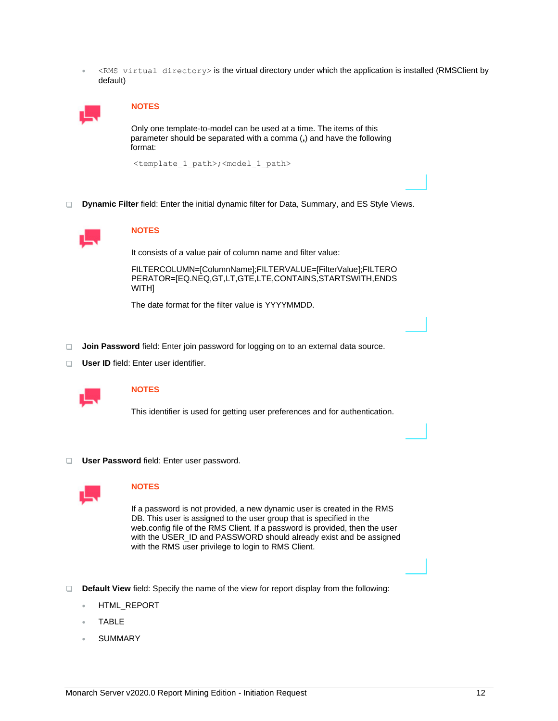• <RMS virtual directory> is the virtual directory under which the application is installed (RMSClient by default)



### **NOTES**

Only one template-to-model can be used at a time. The items of this parameter should be separated with a comma (**,**) and have the following format:

<template\_1\_path>;<model\_1\_path>

**Dynamic Filter** field: Enter the initial dynamic filter for Data, Summary, and ES Style Views.



### **NOTES**

It consists of a value pair of column name and filter value:

FILTERCOLUMN=[ColumnName];FILTERVALUE=[FilterValue];FILTERO PERATOR=[EQ.NEQ,GT,LT,GTE,LTE,CONTAINS,STARTSWITH,ENDS WITH]

The date format for the filter value is YYYYMMDD.

- **Join Password** field: Enter join password for logging on to an external data source.
- **User ID** field: Enter user identifier.



## **NOTES**

This identifier is used for getting user preferences and for authentication.

**User Password** field: Enter user password.



### **NOTES**

If a password is not provided, a new dynamic user is created in the RMS DB. This user is assigned to the user group that is specified in the web.config file of the RMS Client. If a password is provided, then the user with the USER\_ID and PASSWORD should already exist and be assigned with the RMS user privilege to login to RMS Client.

- **Default View** field: Specify the name of the view for report display from the following:
	- HTML\_REPORT
	- TABLE
	- **SUMMARY**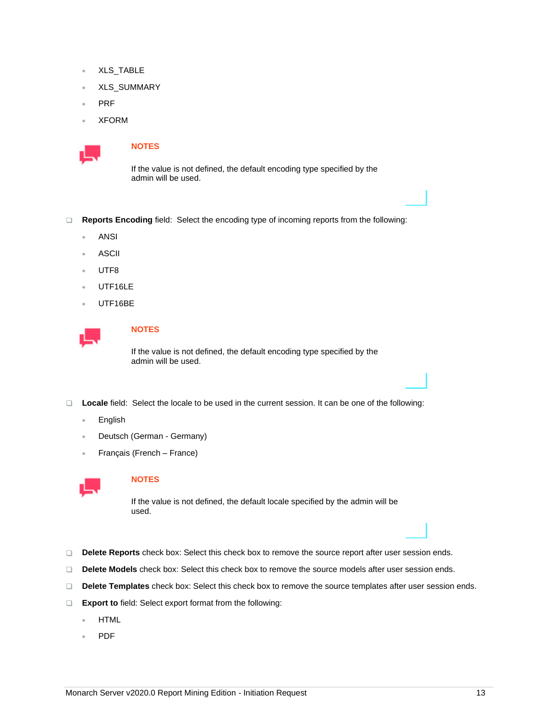- XLS\_TABLE
- XLS\_SUMMARY
- PRF
- XFORM



If the value is not defined, the default encoding type specified by the admin will be used.

- **Reports Encoding** field: Select the encoding type of incoming reports from the following:
	- ANSI
	- ASCII
	- UTF<sub>8</sub>
	- UTF16LE
	- UTF16BE



## **NOTES**

If the value is not defined, the default encoding type specified by the admin will be used.

- **Locale** field: Select the locale to be used in the current session. It can be one of the following:
	- English
	- Deutsch (German Germany)
	- Français (French France)



## **NOTES**

If the value is not defined, the default locale specified by the admin will be used.

- **Delete Reports** check box: Select this check box to remove the source report after user session ends.
- $\Box$ **Delete Models** check box: Select this check box to remove the source models after user session ends.
- **Delete Templates** check box: Select this check box to remove the source templates after user session ends.
- $\Box$ **Export to** field: Select export format from the following:
	- HTML
	- PDF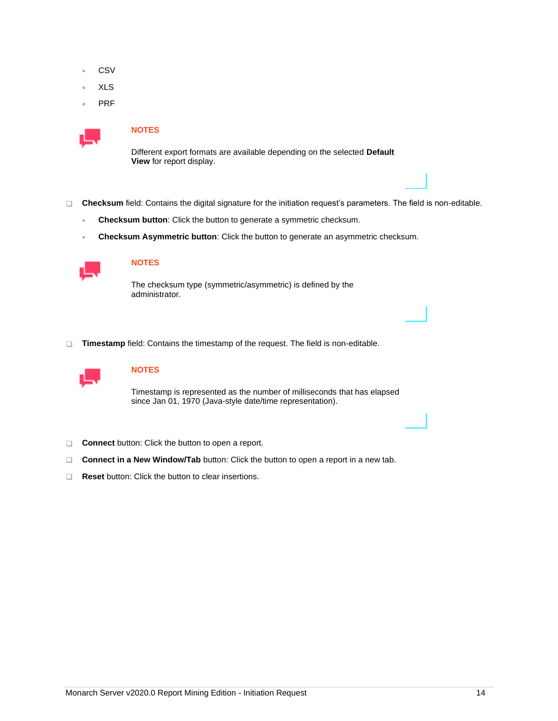- **CSV**
- XLS
- PRF



Different export formats are available depending on the selected **Default View** for report display.

- **Checksum** field: Contains the digital signature for the initiation request's parameters. The field is non-editable.
	- **Checksum button**: Click the button to generate a symmetric checksum.
	- **Checksum Asymmetric button**: Click the button to generate an asymmetric checksum.



## **NOTES**

The checksum type (symmetric/asymmetric) is defined by the administrator.

**Timestamp** field: Contains the timestamp of the request. The field is non-editable.



## **NOTES**

Timestamp is represented as the number of milliseconds that has elapsed since Jan 01, 1970 (Java-style date/time representation).

- **Connect** button: Click the button to open a report.
- □ **Connect in a New Window/Tab** button: Click the button to open a report in a new tab.
- **Reset** button: Click the button to clear insertions.